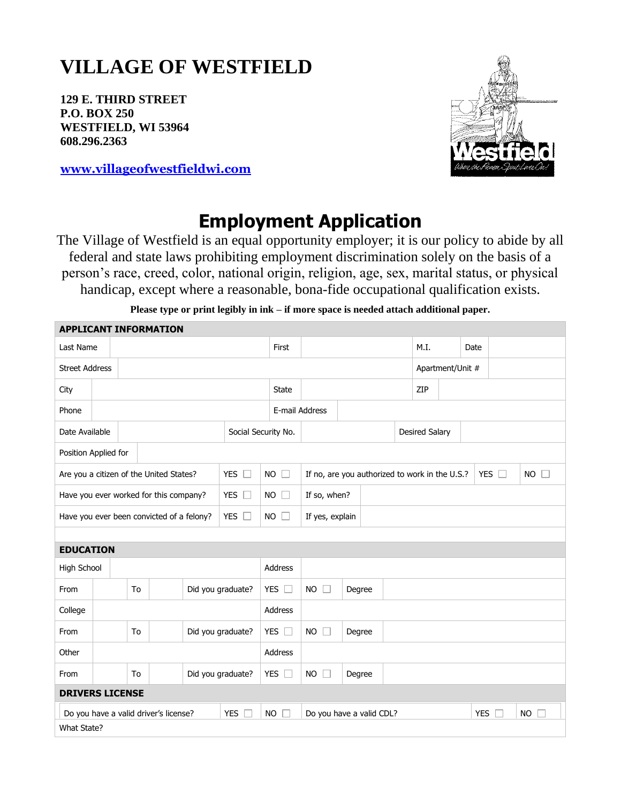# **VILLAGE OF WESTFIELD**

**129 E. THIRD STREET P.O. BOX 250 WESTFIELD, WI 53964 608.296.2363**

**APPLICANT INFORMATION**

**[www.villageofwestfieldwi.com](http://www.villageofwestfieldwi.com/)**

## **Employment Application**

The Village of Westfield is an equal opportunity employer; it is our policy to abide by all federal and state laws prohibiting employment discrimination solely on the basis of a person's race, creed, color, national origin, religion, age, sex, marital status, or physical handicap, except where a reasonable, bona-fide occupational qualification exists.

| Last Name                                                  |                         |                         |               |                   |                     | First                                          |                               |                               |                  |     |                       | M.I.                 |           | Date      |  |  |
|------------------------------------------------------------|-------------------------|-------------------------|---------------|-------------------|---------------------|------------------------------------------------|-------------------------------|-------------------------------|------------------|-----|-----------------------|----------------------|-----------|-----------|--|--|
| <b>Street Address</b>                                      |                         |                         |               |                   |                     |                                                |                               |                               | Apartment/Unit # |     |                       |                      |           |           |  |  |
| City                                                       |                         |                         |               | <b>State</b>      |                     |                                                |                               |                               |                  | ZIP |                       |                      |           |           |  |  |
| Phone                                                      |                         |                         |               |                   |                     | E-mail Address                                 |                               |                               |                  |     |                       |                      |           |           |  |  |
| Date Available                                             |                         |                         |               |                   | Social Security No. |                                                |                               |                               |                  |     | <b>Desired Salary</b> |                      |           |           |  |  |
| Position Applied for                                       |                         |                         |               |                   |                     |                                                |                               |                               |                  |     |                       |                      |           |           |  |  |
| Are you a citizen of the United States?<br>YES $\Box$      |                         |                         |               | <b>NO</b>         | $\Box$              | If no, are you authorized to work in the U.S.? |                               |                               |                  |     |                       | <b>YES</b><br>$\Box$ | $NO \Box$ |           |  |  |
| Have you ever worked for this company?<br>YES $\square$    |                         |                         |               | $NO$ $\Box$       |                     | If so, when?                                   |                               |                               |                  |     |                       |                      |           |           |  |  |
| YES $\square$<br>Have you ever been convicted of a felony? |                         |                         |               | $NO$ $\Box$       |                     | If yes, explain                                |                               |                               |                  |     |                       |                      |           |           |  |  |
|                                                            |                         |                         |               |                   |                     |                                                |                               |                               |                  |     |                       |                      |           |           |  |  |
| <b>EDUCATION</b>                                           |                         |                         |               |                   |                     |                                                |                               |                               |                  |     |                       |                      |           |           |  |  |
| High School                                                |                         |                         |               | <b>Address</b>    |                     |                                                |                               |                               |                  |     |                       |                      |           |           |  |  |
| From                                                       |                         | Did you graduate?<br>To |               |                   | YES $\square$       |                                                | <b>NO</b><br>$\Box$<br>Degree |                               |                  |     |                       |                      |           |           |  |  |
| College                                                    |                         |                         |               | <b>Address</b>    |                     |                                                |                               |                               |                  |     |                       |                      |           |           |  |  |
| From                                                       | To                      |                         |               | Did you graduate? |                     | YES $\square$                                  |                               | <b>NO</b><br>Degree<br>$\Box$ |                  |     |                       |                      |           |           |  |  |
| Other                                                      |                         |                         |               |                   | Address             |                                                |                               |                               |                  |     |                       |                      |           |           |  |  |
| From                                                       | To<br>Did you graduate? |                         | YES $\square$ |                   | <b>NO</b><br>Degree |                                                |                               |                               |                  |     |                       |                      |           |           |  |  |
| <b>DRIVERS LICENSE</b>                                     |                         |                         |               |                   |                     |                                                |                               |                               |                  |     |                       |                      |           |           |  |  |
| <b>YES</b><br>Do you have a valid driver's license?        |                         |                         |               |                   | <b>NO</b>           |                                                | Do you have a valid CDL?      |                               |                  |     |                       | <b>YES</b>           |           | <b>NO</b> |  |  |
| What State?                                                |                         |                         |               |                   |                     |                                                |                               |                               |                  |     |                       |                      |           |           |  |  |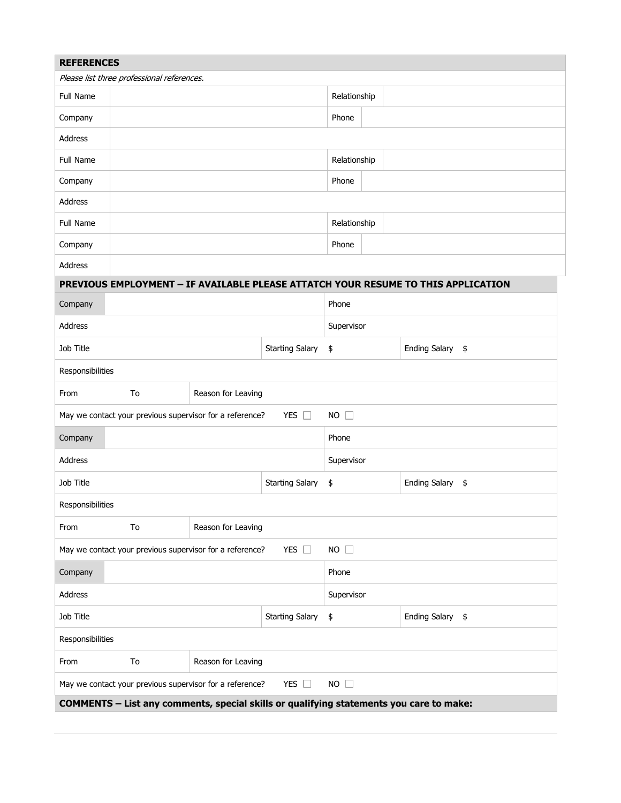| <b>REFERENCES</b>                                                                           |                                                          |  |                        |                        |                  |  |  |  |  |  |
|---------------------------------------------------------------------------------------------|----------------------------------------------------------|--|------------------------|------------------------|------------------|--|--|--|--|--|
| Please list three professional references.                                                  |                                                          |  |                        |                        |                  |  |  |  |  |  |
| Full Name                                                                                   |                                                          |  |                        | Relationship           |                  |  |  |  |  |  |
| Company                                                                                     |                                                          |  |                        | Phone                  |                  |  |  |  |  |  |
| Address                                                                                     |                                                          |  |                        |                        |                  |  |  |  |  |  |
| Full Name                                                                                   |                                                          |  |                        | Relationship           |                  |  |  |  |  |  |
| Company                                                                                     |                                                          |  |                        | Phone                  |                  |  |  |  |  |  |
| Address                                                                                     |                                                          |  |                        |                        |                  |  |  |  |  |  |
| Full Name                                                                                   |                                                          |  |                        | Relationship           |                  |  |  |  |  |  |
| Company                                                                                     |                                                          |  |                        | Phone                  |                  |  |  |  |  |  |
| Address                                                                                     |                                                          |  |                        |                        |                  |  |  |  |  |  |
| PREVIOUS EMPLOYMENT - IF AVAILABLE PLEASE ATTATCH YOUR RESUME TO THIS APPLICATION           |                                                          |  |                        |                        |                  |  |  |  |  |  |
| Company                                                                                     |                                                          |  |                        | Phone                  |                  |  |  |  |  |  |
| Address                                                                                     |                                                          |  |                        | Supervisor             |                  |  |  |  |  |  |
| Job Title                                                                                   |                                                          |  | <b>Starting Salary</b> | Ending Salary \$<br>\$ |                  |  |  |  |  |  |
| Responsibilities                                                                            |                                                          |  |                        |                        |                  |  |  |  |  |  |
| From                                                                                        | To<br>Reason for Leaving                                 |  |                        |                        |                  |  |  |  |  |  |
| May we contact your previous supervisor for a reference?<br>YES $\square$<br>$NO$ $\square$ |                                                          |  |                        |                        |                  |  |  |  |  |  |
| Company                                                                                     | Phone                                                    |  |                        |                        |                  |  |  |  |  |  |
| Address                                                                                     |                                                          |  |                        | Supervisor             |                  |  |  |  |  |  |
| Job Title                                                                                   |                                                          |  | <b>Starting Salary</b> | \$<br>Ending Salary \$ |                  |  |  |  |  |  |
| Responsibilities                                                                            |                                                          |  |                        |                        |                  |  |  |  |  |  |
| From                                                                                        | Reason for Leaving<br>To                                 |  |                        |                        |                  |  |  |  |  |  |
|                                                                                             | May we contact your previous supervisor for a reference? |  | YES $\square$          | $NO$ $\Box$            |                  |  |  |  |  |  |
| Company                                                                                     |                                                          |  |                        | Phone                  |                  |  |  |  |  |  |
| Address                                                                                     |                                                          |  |                        | Supervisor             |                  |  |  |  |  |  |
| Job Title                                                                                   |                                                          |  | \$                     |                        | Ending Salary \$ |  |  |  |  |  |
| Responsibilities                                                                            |                                                          |  |                        |                        |                  |  |  |  |  |  |
| From                                                                                        | Reason for Leaving<br>To                                 |  |                        |                        |                  |  |  |  |  |  |
|                                                                                             | May we contact your previous supervisor for a reference? |  | YES $\square$          | $NO$ $\Box$            |                  |  |  |  |  |  |
| COMMENTS - List any comments, special skills or qualifying statements you care to make:     |                                                          |  |                        |                        |                  |  |  |  |  |  |